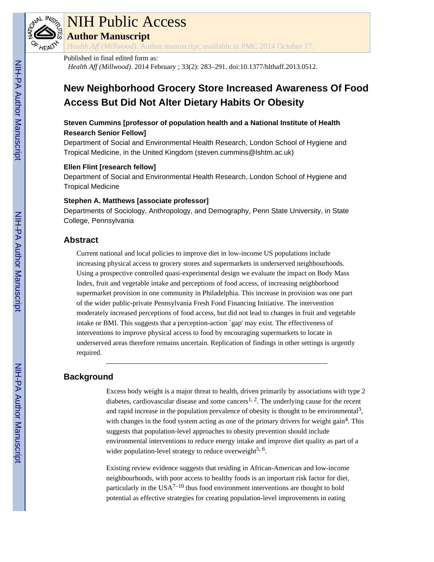

# NIH Public Access

**Author Manuscript**

*Health Aff (Millwood)*. Author manuscript; available in PMC 2014 October 17.

## Published in final edited form as:

*Health Aff (Millwood)*. 2014 February ; 33(2): 283–291. doi:10.1377/hlthaff.2013.0512.

## **New Neighborhood Grocery Store Increased Awareness Of Food Access But Did Not Alter Dietary Habits Or Obesity**

## **Steven Cummins [professor of population health and a National Institute of Health Research Senior Fellow]**

Department of Social and Environmental Health Research, London School of Hygiene and Tropical Medicine, in the United Kingdom (steven.cummins@lshtm.ac.uk)

## **Ellen Flint [research fellow]**

Department of Social and Environmental Health Research, London School of Hygiene and Tropical Medicine

## **Stephen A. Matthews [associate professor]**

Departments of Sociology, Anthropology, and Demography, Penn State University, in State College, Pennsylvania

## **Abstract**

Current national and local policies to improve diet in low-income US populations include increasing physical access to grocery stores and supermarkets in underserved neighbourhoods. Using a prospective controlled quasi-experimental design we evaluate the impact on Body Mass Index, fruit and vegetable intake and perceptions of food access, of increasing neighborhood supermarket provision in one community in Philadelphia. This increase in provision was one part of the wider public-private Pennsylvania Fresh Food Financing Initiative. The intervention moderately increased perceptions of food access, but did not lead to changes in fruit and vegetable intake or BMI. This suggests that a perception-action `gap' may exist. The effectiveness of interventions to improve physical access to food by encouraging supermarkets to locate in underserved areas therefore remains uncertain. Replication of findings in other settings is urgently required.

## **Background**

Excess body weight is a major threat to health, driven primarily by associations with type 2 diabetes, cardiovascular disease and some cancers<sup>1, 2</sup>. The underlying cause for the recent and rapid increase in the population prevalence of obesity is thought to be environmental<sup>3</sup>, with changes in the food system acting as one of the primary drivers for weight gain<sup>4</sup>. This suggests that population-level approaches to obesity prevention should include environmental interventions to reduce energy intake and improve diet quality as part of a wider population-level strategy to reduce overweight<sup>5, 6</sup>.

Existing review evidence suggests that residing in African-American and low-income neighbourhoods, with poor access to healthy foods is an important risk factor for diet, particularly in the  $USA^{7-10}$  thus food environment interventions are thought to hold potential as effective strategies for creating population-level improvements in eating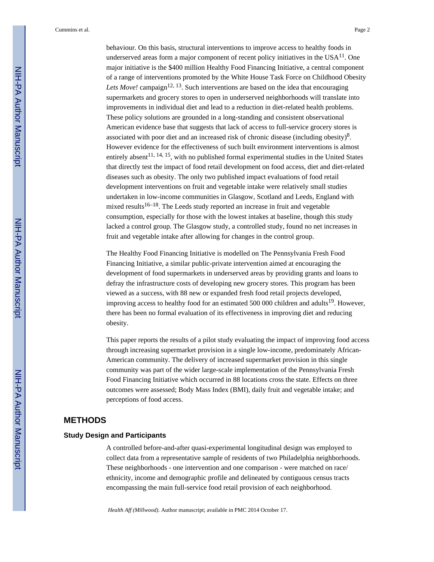behaviour. On this basis, structural interventions to improve access to healthy foods in underserved areas form a major component of recent policy initiatives in the  $USA<sup>11</sup>$ . One major initiative is the \$400 million Healthy Food Financing Initiative, a central component of a range of interventions promoted by the White House Task Force on Childhood Obesity Lets Move! campaign<sup>12, 13</sup>. Such interventions are based on the idea that encouraging supermarkets and grocery stores to open in underserved neighborhoods will translate into improvements in individual diet and lead to a reduction in diet-related health problems. These policy solutions are grounded in a long-standing and consistent observational American evidence base that suggests that lack of access to full-service grocery stores is associated with poor diet and an increased risk of chronic disease (including obesity) $8$ . However evidence for the effectiveness of such built environment interventions is almost entirely absent<sup>11, 14, 15</sup>, with no published formal experimental studies in the United States that directly test the impact of food retail development on food access, diet and diet-related diseases such as obesity. The only two published impact evaluations of food retail development interventions on fruit and vegetable intake were relatively small studies undertaken in low-income communities in Glasgow, Scotland and Leeds, England with mixed results<sup>16–18</sup>. The Leeds study reported an increase in fruit and vegetable consumption, especially for those with the lowest intakes at baseline, though this study lacked a control group. The Glasgow study, a controlled study, found no net increases in fruit and vegetable intake after allowing for changes in the control group.

The Healthy Food Financing Initiative is modelled on The Pennsylvania Fresh Food Financing Initiative, a similar public-private intervention aimed at encouraging the development of food supermarkets in underserved areas by providing grants and loans to defray the infrastructure costs of developing new grocery stores. This program has been viewed as a success, with 88 new or expanded fresh food retail projects developed, improving access to healthy food for an estimated 500 000 children and adults<sup>19</sup>. However, there has been no formal evaluation of its effectiveness in improving diet and reducing obesity.

This paper reports the results of a pilot study evaluating the impact of improving food access through increasing supermarket provision in a single low-income, predominately African-American community. The delivery of increased supermarket provision in this single community was part of the wider large-scale implementation of the Pennsylvania Fresh Food Financing Initiative which occurred in 88 locations cross the state. Effects on three outcomes were assessed; Body Mass Index (BMI), daily fruit and vegetable intake; and perceptions of food access.

## **METHODS**

## **Study Design and Participants**

A controlled before-and-after quasi-experimental longitudinal design was employed to collect data from a representative sample of residents of two Philadelphia neighborhoods. These neighborhoods - one intervention and one comparison - were matched on race/ ethnicity, income and demographic profile and delineated by contiguous census tracts encompassing the main full-service food retail provision of each neighborhood.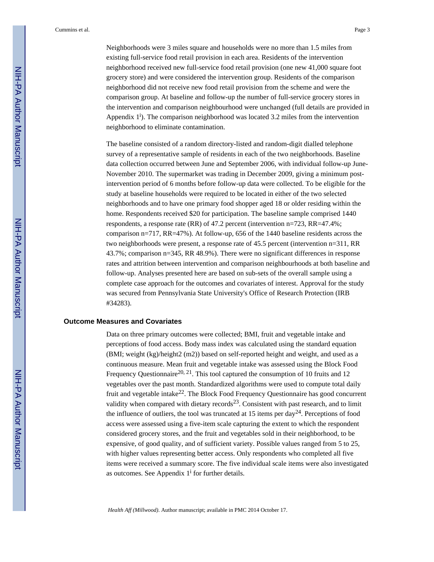Neighborhoods were 3 miles square and households were no more than 1.5 miles from existing full-service food retail provision in each area. Residents of the intervention neighborhood received new full-service food retail provision (one new 41,000 square foot grocery store) and were considered the intervention group. Residents of the comparison neighborhood did not receive new food retail provision from the scheme and were the comparison group. At baseline and follow-up the number of full-service grocery stores in the intervention and comparison neighbourhood were unchanged (full details are provided in Appendix  $1^i$ ). The comparison neighborhood was located 3.2 miles from the intervention neighborhood to eliminate contamination.

The baseline consisted of a random directory-listed and random-digit dialled telephone survey of a representative sample of residents in each of the two neighborhoods. Baseline data collection occurred between June and September 2006, with individual follow-up June-November 2010. The supermarket was trading in December 2009, giving a minimum postintervention period of 6 months before follow-up data were collected. To be eligible for the study at baseline households were required to be located in either of the two selected neighborhoods and to have one primary food shopper aged 18 or older residing within the home. Respondents received \$20 for participation. The baseline sample comprised 1440 respondents, a response rate (RR) of 47.2 percent (intervention n=723, RR=47.4%; comparison n=717, RR=47%). At follow-up, 656 of the 1440 baseline residents across the two neighborhoods were present, a response rate of 45.5 percent (intervention n=311, RR 43.7%; comparison n=345, RR 48.9%). There were no significant differences in response rates and attrition between intervention and comparison neighbourhoods at both baseline and follow-up. Analyses presented here are based on sub-sets of the overall sample using a complete case approach for the outcomes and covariates of interest. Approval for the study was secured from Pennsylvania State University's Office of Research Protection (IRB #34283).

#### **Outcome Measures and Covariates**

Data on three primary outcomes were collected; BMI, fruit and vegetable intake and perceptions of food access. Body mass index was calculated using the standard equation (BMI; weight (kg)/height2 (m2)) based on self-reported height and weight, and used as a continuous measure. Mean fruit and vegetable intake was assessed using the Block Food Frequency Questionnaire<sup>20, 21</sup>. This tool captured the consumption of 10 fruits and 12 vegetables over the past month. Standardized algorithms were used to compute total daily fruit and vegetable intake<sup>22</sup>. The Block Food Frequency Questionnaire has good concurrent validity when compared with dietary records<sup>23</sup>. Consistent with past research, and to limit the influence of outliers, the tool was truncated at 15 items per  $day^{24}$ . Perceptions of food access were assessed using a five-item scale capturing the extent to which the respondent considered grocery stores, and the fruit and vegetables sold in their neighborhood, to be expensive, of good quality, and of sufficient variety. Possible values ranged from 5 to 25, with higher values representing better access. Only respondents who completed all five items were received a summary score. The five individual scale items were also investigated as outcomes. See Appendix  $1^i$  for further details.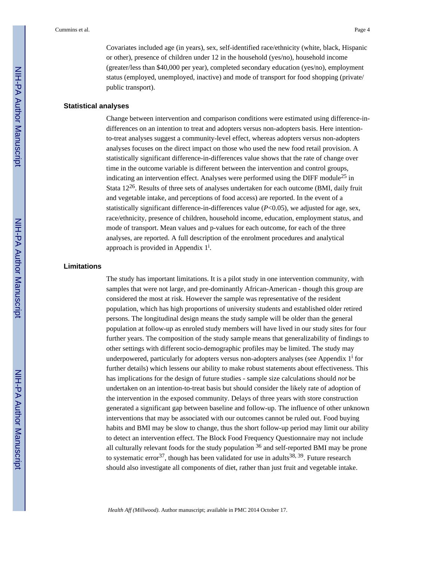Covariates included age (in years), sex, self-identified race/ethnicity (white, black, Hispanic or other), presence of children under 12 in the household (yes/no), household income (greater/less than \$40,000 per year), completed secondary education (yes/no), employment status (employed, unemployed, inactive) and mode of transport for food shopping (private/ public transport).

#### **Statistical analyses**

Change between intervention and comparison conditions were estimated using difference-indifferences on an intention to treat and adopters versus non-adopters basis. Here intentionto-treat analyses suggest a community-level effect, whereas adopters versus non-adopters analyses focuses on the direct impact on those who used the new food retail provision. A statistically significant difference-in-differences value shows that the rate of change over time in the outcome variable is different between the intervention and control groups, indicating an intervention effect. Analyses were performed using the DIFF module<sup>25</sup> in Stata 1226. Results of three sets of analyses undertaken for each outcome (BMI, daily fruit and vegetable intake, and perceptions of food access) are reported. In the event of a statistically significant difference-in-differences value  $(P<0.05)$ , we adjusted for age, sex, race/ethnicity, presence of children, household income, education, employment status, and mode of transport. Mean values and p-values for each outcome, for each of the three analyses, are reported. A full description of the enrolment procedures and analytical approach is provided in Appendix  $1^i$ .

#### **Limitations**

The study has important limitations. It is a pilot study in one intervention community, with samples that were not large, and pre-dominantly African-American - though this group are considered the most at risk. However the sample was representative of the resident population, which has high proportions of university students and established older retired persons. The longitudinal design means the study sample will be older than the general population at follow-up as enroled study members will have lived in our study sites for four further years. The composition of the study sample means that generalizability of findings to other settings with different socio-demographic profiles may be limited. The study may underpowered, particularly for adopters versus non-adopters analyses (see Appendix  $1^{\text{i}}$  for further details) which lessens our ability to make robust statements about effectiveness. This has implications for the design of future studies - sample size calculations should *not* be undertaken on an intention-to-treat basis but should consider the likely rate of adoption of the intervention in the exposed community. Delays of three years with store construction generated a significant gap between baseline and follow-up. The influence of other unknown interventions that may be associated with our outcomes cannot be ruled out. Food buying habits and BMI may be slow to change, thus the short follow-up period may limit our ability to detect an intervention effect. The Block Food Frequency Questionnaire may not include all culturally relevant foods for the study population  $36$  and self-reported BMI may be prone to systematic error<sup>37</sup>, though has been validated for use in adults<sup>38, 39</sup>. Future research should also investigate all components of diet, rather than just fruit and vegetable intake.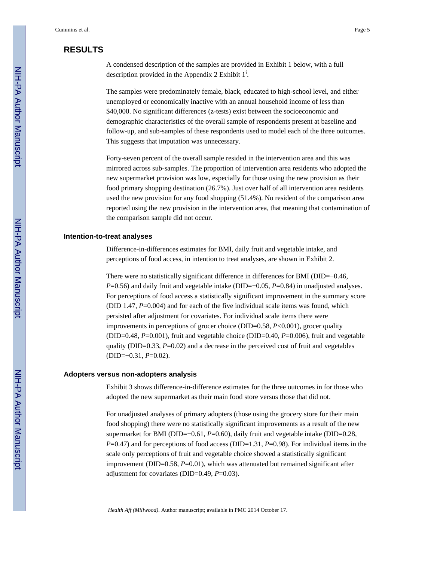## **RESULTS**

A condensed description of the samples are provided in Exhibit 1 below, with a full description provided in the Appendix 2 Exhibit  $1^i$ .

The samples were predominately female, black, educated to high-school level, and either unemployed or economically inactive with an annual household income of less than \$40,000. No significant differences (z-tests) exist between the socioeconomic and demographic characteristics of the overall sample of respondents present at baseline and follow-up, and sub-samples of these respondents used to model each of the three outcomes. This suggests that imputation was unnecessary.

Forty-seven percent of the overall sample resided in the intervention area and this was mirrored across sub-samples. The proportion of intervention area residents who adopted the new supermarket provision was low, especially for those using the new provision as their food primary shopping destination (26.7%). Just over half of all intervention area residents used the new provision for any food shopping (51.4%). No resident of the comparison area reported using the new provision in the intervention area, that meaning that contamination of the comparison sample did not occur.

## **Intention-to-treat analyses**

Difference-in-differences estimates for BMI, daily fruit and vegetable intake, and perceptions of food access, in intention to treat analyses, are shown in Exhibit 2.

There were no statistically significant difference in differences for BMI (DID=−0.46, *P*=0.56) and daily fruit and vegetable intake (DID=−0.05, *P*=0.84) in unadjusted analyses. For perceptions of food access a statistically significant improvement in the summary score (DID 1.47, *P*=0.004) and for each of the five individual scale items was found, which persisted after adjustment for covariates. For individual scale items there were improvements in perceptions of grocer choice (DID=0.58, *P*<0.001), grocer quality (DID=0.48, *P*=0.001), fruit and vegetable choice (DID=0.40, *P*=0.006), fruit and vegetable quality (DID=0.33, P=0.02) and a decrease in the perceived cost of fruit and vegetables (DID=−0.31, *P*=0.02).

## **Adopters versus non-adopters analysis**

Exhibit 3 shows difference-in-difference estimates for the three outcomes in for those who adopted the new supermarket as their main food store versus those that did not.

For unadjusted analyses of primary adopters (those using the grocery store for their main food shopping) there were no statistically significant improvements as a result of the new supermarket for BMI (DID=−0.61, *P*=0.60), daily fruit and vegetable intake (DID=0.28, *P*=0.47) and for perceptions of food access (DID=1.31, *P*=0.98). For individual items in the scale only perceptions of fruit and vegetable choice showed a statistically significant improvement (DID=0.58, *P*=0.01), which was attenuated but remained significant after adjustment for covariates (DID=0.49, *P*=0.03).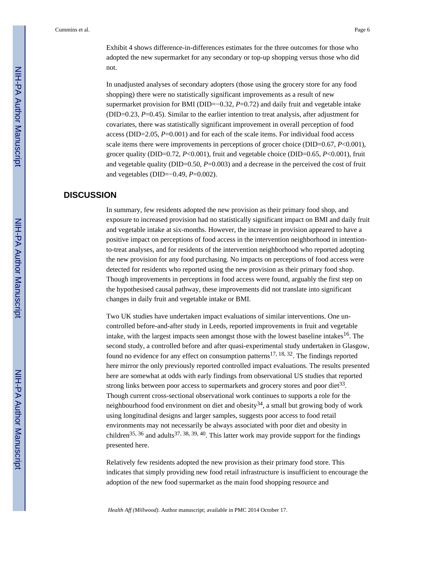Exhibit 4 shows difference-in-differences estimates for the three outcomes for those who adopted the new supermarket for any secondary or top-up shopping versus those who did not.

In unadjusted analyses of secondary adopters (those using the grocery store for any food shopping) there were no statistically significant improvements as a result of new supermarket provision for BMI (DID=−0.32, *P*=0.72) and daily fruit and vegetable intake (DID=0.23, *P*=0.45). Similar to the earlier intention to treat analysis, after adjustment for covariates, there was statistically significant improvement in overall perception of food access (DID=2.05, *P*=0.001) and for each of the scale items. For individual food access scale items there were improvements in perceptions of grocer choice (DID=0.67, *P*<0.001), grocer quality (DID=0.72, *P*<0.001), fruit and vegetable choice (DID=0.65, *P*<0.001), fruit and vegetable quality (DID=0.50, *P*=0.003) and a decrease in the perceived the cost of fruit and vegetables (DID=−0.49, *P*=0.002).

## **DISCUSSION**

In summary, few residents adopted the new provision as their primary food shop, and exposure to increased provision had no statistically significant impact on BMI and daily fruit and vegetable intake at six-months. However, the increase in provision appeared to have a positive impact on perceptions of food access in the intervention neighborhood in intentionto-treat analyses, and for residents of the intervention neighborhood who reported adopting the new provision for any food purchasing. No impacts on perceptions of food access were detected for residents who reported using the new provision as their primary food shop. Though improvements in perceptions in food access were found, arguably the first step on the hypothesised causal pathway, these improvements did not translate into significant changes in daily fruit and vegetable intake or BMI.

Two UK studies have undertaken impact evaluations of similar interventions. One uncontrolled before-and-after study in Leeds, reported improvements in fruit and vegetable intake, with the largest impacts seen amongst those with the lowest baseline intakes<sup>16</sup>. The second study, a controlled before and after quasi-experimental study undertaken in Glasgow, found no evidence for any effect on consumption patterns<sup>17, 18, 32</sup>. The findings reported here mirror the only previously reported controlled impact evaluations. The results presented here are somewhat at odds with early findings from observational US studies that reported strong links between poor access to supermarkets and grocery stores and poor diet<sup>33</sup>. Though current cross-sectional observational work continues to supports a role for the neighbourhood food environment on diet and obesity<sup>34</sup>, a small but growing body of work using longitudinal designs and larger samples, suggests poor access to food retail environments may not necessarily be always associated with poor diet and obesity in children<sup>35, 36</sup> and adults<sup>37, 38, 39, 40</sup>. This latter work may provide support for the findings presented here.

Relatively few residents adopted the new provision as their primary food store. This indicates that simply providing new food retail infrastructure is insufficient to encourage the adoption of the new food supermarket as the main food shopping resource and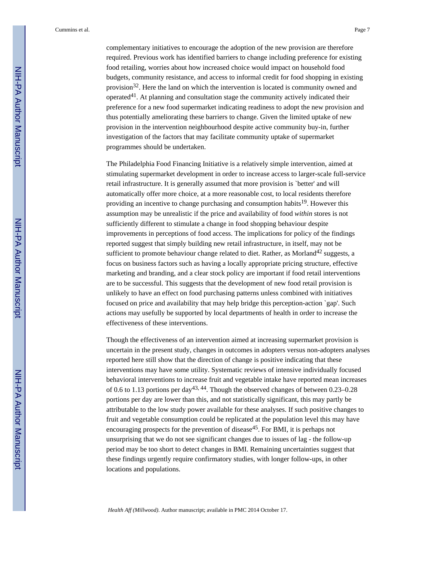complementary initiatives to encourage the adoption of the new provision are therefore required. Previous work has identified barriers to change including preference for existing food retailing, worries about how increased choice would impact on household food budgets, community resistance, and access to informal credit for food shopping in existing provision<sup>32</sup>. Here the land on which the intervention is located is community owned and operated41. At planning and consultation stage the community actively indicated their preference for a new food supermarket indicating readiness to adopt the new provision and thus potentially ameliorating these barriers to change. Given the limited uptake of new provision in the intervention neighbourhood despite active community buy-in, further investigation of the factors that may facilitate community uptake of supermarket programmes should be undertaken.

The Philadelphia Food Financing Initiative is a relatively simple intervention, aimed at stimulating supermarket development in order to increase access to larger-scale full-service retail infrastructure. It is generally assumed that more provision is `better' and will automatically offer more choice, at a more reasonable cost, to local residents therefore providing an incentive to change purchasing and consumption habits<sup>19</sup>. However this assumption may be unrealistic if the price and availability of food *within* stores is not sufficiently different to stimulate a change in food shopping behaviour despite improvements in perceptions of food access. The implications for policy of the findings reported suggest that simply building new retail infrastructure, in itself, may not be sufficient to promote behaviour change related to diet. Rather, as Morland<sup>42</sup> suggests, a focus on business factors such as having a locally appropriate pricing structure, effective marketing and branding, and a clear stock policy are important if food retail interventions are to be successful. This suggests that the development of new food retail provision is unlikely to have an effect on food purchasing patterns unless combined with initiatives focused on price and availability that may help bridge this perception-action `gap'. Such actions may usefully be supported by local departments of health in order to increase the effectiveness of these interventions.

Though the effectiveness of an intervention aimed at increasing supermarket provision is uncertain in the present study, changes in outcomes in adopters versus non-adopters analyses reported here still show that the direction of change is positive indicating that these interventions may have some utility. Systematic reviews of intensive individually focused behavioral interventions to increase fruit and vegetable intake have reported mean increases of 0.6 to 1.13 portions per day43, 44. Though the observed changes of between 0.23–0.28 portions per day are lower than this, and not statistically significant, this may partly be attributable to the low study power available for these analyses. If such positive changes to fruit and vegetable consumption could be replicated at the population level this may have encouraging prospects for the prevention of disease<sup>45</sup>. For BMI, it is perhaps not unsurprising that we do not see significant changes due to issues of lag - the follow-up period may be too short to detect changes in BMI. Remaining uncertainties suggest that these findings urgently require confirmatory studies, with longer follow-ups, in other locations and populations.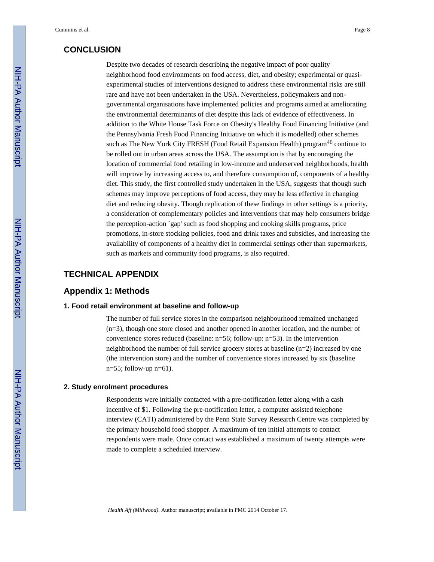## **CONCLUSION**

Despite two decades of research describing the negative impact of poor quality neighborhood food environments on food access, diet, and obesity; experimental or quasiexperimental studies of interventions designed to address these environmental risks are still rare and have not been undertaken in the USA. Nevertheless, policymakers and nongovernmental organisations have implemented policies and programs aimed at ameliorating the environmental determinants of diet despite this lack of evidence of effectiveness. In addition to the White House Task Force on Obesity's Healthy Food Financing Initiative (and the Pennsylvania Fresh Food Financing Initiative on which it is modelled) other schemes such as The New York City FRESH (Food Retail Expansion Health) program<sup>46</sup> continue to be rolled out in urban areas across the USA. The assumption is that by encouraging the location of commercial food retailing in low-income and underserved neighborhoods, health will improve by increasing access to, and therefore consumption of, components of a healthy diet. This study, the first controlled study undertaken in the USA, suggests that though such schemes may improve perceptions of food access, they may be less effective in changing diet and reducing obesity. Though replication of these findings in other settings is a priority, a consideration of complementary policies and interventions that may help consumers bridge the perception-action `gap' such as food shopping and cooking skills programs, price promotions, in-store stocking policies, food and drink taxes and subsidies, and increasing the availability of components of a healthy diet in commercial settings other than supermarkets, such as markets and community food programs, is also required.

## **TECHNICAL APPENDIX**

## **Appendix 1: Methods**

## **1. Food retail environment at baseline and follow-up**

The number of full service stores in the comparison neighbourhood remained unchanged (n=3), though one store closed and another opened in another location, and the number of convenience stores reduced (baseline: n=56; follow-up: n=53). In the intervention neighborhood the number of full service grocery stores at baseline (n=2) increased by one (the intervention store) and the number of convenience stores increased by six (baseline  $n=55$ ; follow-up  $n=61$ ).

#### **2. Study enrolment procedures**

Respondents were initially contacted with a pre-notification letter along with a cash incentive of \$1. Following the pre-notification letter, a computer assisted telephone interview (CATI) administered by the Penn State Survey Research Centre was completed by the primary household food shopper. A maximum of ten initial attempts to contact respondents were made. Once contact was established a maximum of twenty attempts were made to complete a scheduled interview.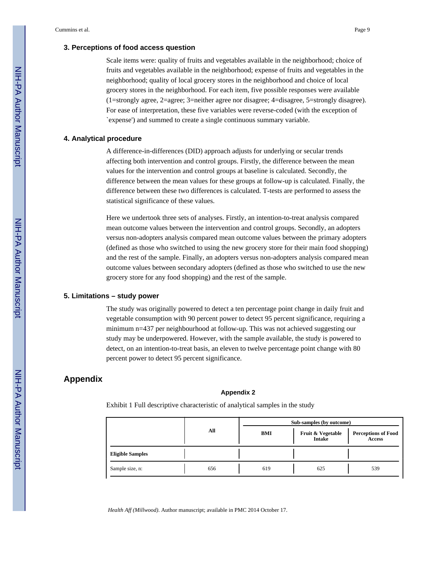## **3. Perceptions of food access question**

Scale items were: quality of fruits and vegetables available in the neighborhood; choice of fruits and vegetables available in the neighborhood; expense of fruits and vegetables in the neighborhood; quality of local grocery stores in the neighborhood and choice of local grocery stores in the neighborhood. For each item, five possible responses were available (1=strongly agree, 2=agree; 3=neither agree nor disagree; 4=disagree, 5=strongly disagree). For ease of interpretation, these five variables were reverse-coded (with the exception of `expense') and summed to create a single continuous summary variable.

#### **4. Analytical procedure**

A difference-in-differences (DID) approach adjusts for underlying or secular trends affecting both intervention and control groups. Firstly, the difference between the mean values for the intervention and control groups at baseline is calculated. Secondly, the difference between the mean values for these groups at follow-up is calculated. Finally, the difference between these two differences is calculated. T-tests are performed to assess the statistical significance of these values.

Here we undertook three sets of analyses. Firstly, an intention-to-treat analysis compared mean outcome values between the intervention and control groups. Secondly, an adopters versus non-adopters analysis compared mean outcome values between the primary adopters (defined as those who switched to using the new grocery store for their main food shopping) and the rest of the sample. Finally, an adopters versus non-adopters analysis compared mean outcome values between secondary adopters (defined as those who switched to use the new grocery store for any food shopping) and the rest of the sample.

## **5. Limitations – study power**

The study was originally powered to detect a ten percentage point change in daily fruit and vegetable consumption with 90 percent power to detect 95 percent significance, requiring a minimum n=437 per neighbourhood at follow-up. This was not achieved suggesting our study may be underpowered. However, with the sample available, the study is powered to detect, on an intention-to-treat basis, an eleven to twelve percentage point change with 80 percent power to detect 95 percent significance.

## **Appendix**

#### **Appendix 2**

Exhibit 1 Full descriptive characteristic of analytical samples in the study

|                         |     |  | Sub-samples (by outcome) |  |                             |                                      |  |  |
|-------------------------|-----|--|--------------------------|--|-----------------------------|--------------------------------------|--|--|
|                         | All |  | BMI                      |  | Fruit & Vegetable<br>Intake | <b>Perceptions of Food</b><br>Access |  |  |
| <b>Eligible Samples</b> |     |  |                          |  |                             |                                      |  |  |
| Sample size, n:         | 656 |  | 619                      |  | 625                         | 539                                  |  |  |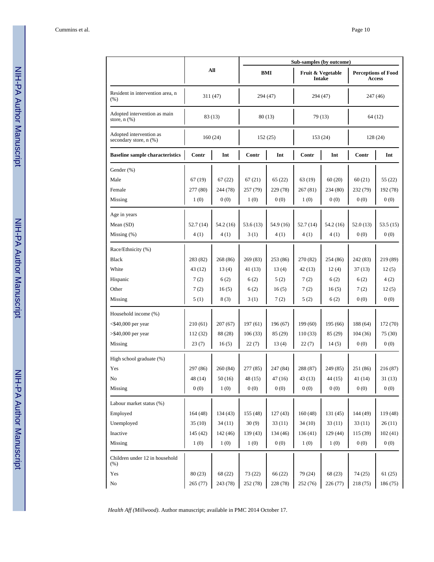|                                                   |          |           | Sub-samples (by outcome) |           |                             |           |                                      |          |  |
|---------------------------------------------------|----------|-----------|--------------------------|-----------|-----------------------------|-----------|--------------------------------------|----------|--|
|                                                   |          | All       |                          | BMI       | Fruit & Vegetable<br>Intake |           | <b>Perceptions of Food</b><br>Access |          |  |
| Resident in intervention area, n<br>$(\%)$        |          | 311 (47)  |                          | 294 (47)  |                             | 294 (47)  |                                      | 247 (46) |  |
| Adopted intervention as main<br>store, $n$ $(\%)$ |          | 83 (13)   | 80(13)                   |           | 79 (13)                     |           | 64 (12)                              |          |  |
| Adopted intervention as<br>secondary store, n (%) |          | 160(24)   | 152(25)                  |           | 153 (24)                    |           | 128 (24)                             |          |  |
| <b>Baseline sample characteristics</b>            | Contr    | Int       | Contr                    | Int       | Contr                       | Int       | Contr                                | Int      |  |
| Gender (%)                                        |          |           |                          |           |                             |           |                                      |          |  |
| Male                                              | 67 (19)  | 67(22)    | 67(21)                   | 65(22)    | 63 (19)                     | 60(20)    | 60(21)                               | 55 (22)  |  |
| Female                                            | 277 (80) | 244 (78)  | 257 (79)                 | 229 (78)  | 267 (81)                    | 234 (80)  | 232 (79)                             | 192 (78) |  |
| Missing                                           | 1(0)     | 0(0)      | 1(0)                     | 0(0)      | 1(0)                        | 0(0)      | 0(0)                                 | 0(0)     |  |
| Age in years                                      |          |           |                          |           |                             |           |                                      |          |  |
| Mean (SD)                                         | 52.7(14) | 54.2 (16) | 53.6(13)                 | 54.9 (16) | 52.7(14)                    | 54.2 (16) | 52.0 (13)                            | 53.5(15) |  |
| Missing $(\%)$                                    | 4(1)     | 4(1)      | 3(1)                     | 4(1)      | 4(1)                        | 4(1)      | 0(0)                                 | 0(0)     |  |
| Race/Ethnicity (%)                                |          |           |                          |           |                             |           |                                      |          |  |
| <b>Black</b>                                      | 283 (82) | 268 (86)  | 269(83)                  | 253 (86)  | 270 (82)                    | 254 (86)  | 242 (83)                             | 219 (89) |  |
| White                                             | 43 (12)  | 13(4)     | 41 (13)                  | 13(4)     | 42 (13)                     | 12(4)     | 37(13)                               | 12(5)    |  |
| Hispanic                                          | 7(2)     | 6(2)      | 6(2)                     | 5(2)      | 7(2)                        | 6(2)      | 6(2)                                 | 4(2)     |  |
| Other                                             | 7(2)     | 16(5)     | 6(2)                     | 16(5)     | 7(2)                        | 16(5)     | 7(2)                                 | 12(5)    |  |
| Missing                                           | 5(1)     | 8(3)      | 3(1)                     | 7(2)      | 5(2)                        | 6(2)      | 0(0)                                 | 0(0)     |  |
| Household income (%)                              |          |           |                          |           |                             |           |                                      |          |  |
| $<$ \$40,000 per year                             | 210(61)  | 207(67)   | 197(61)                  | 196 (67)  | 199(60)                     | 195(66)   | 188 (64)                             | 172 (70) |  |
| $>$ \$40,000 per year                             | 112 (32) | 88 (28)   | 106(33)                  | 85(29)    | 110(33)                     | 85 (29)   | 104(36)                              | 75 (30)  |  |
| Missing                                           | 23(7)    | 16(5)     | 22(7)                    | 13(4)     | 22(7)                       | 14(5)     | 0(0)                                 | 0(0)     |  |
| High school graduate (%)                          |          |           |                          |           |                             |           |                                      |          |  |
| Yes                                               | 297 (86) | 260 (84)  | 277 (85)                 | 247 (84)  | 288 (87)                    | 249 (85)  | 251 (86)                             | 216(87)  |  |
| No                                                | 48 (14)  | 50(16)    | 48 (15)                  | 47(16)    | 43(13)                      | 44(15)    | 41 (14)                              | 31(13)   |  |
| Missing                                           | 0(0)     | 1(0)      | 0(0)                     | 0(0)      | 0(0)                        | 0(0)      | 0(0)                                 | 0(0)     |  |
| Labour market status (%)                          |          |           |                          |           |                             |           |                                      |          |  |
| Employed                                          | 164(48)  | 134(43)   | 155(48)                  | 127(43)   | 160(48)                     | 131(45)   | 144 (49)                             | 119 (48) |  |
| Unemployed                                        | 35(10)   | 34(11)    | 30(9)                    | 33(11)    | 34(10)                      | 33(11)    | 33(11)                               | 26(11)   |  |
| Inactive                                          | 145(42)  | 142 (46)  | 139(43)                  | 134 (46)  | 136(41)                     | 129(44)   | 115 (39)                             | 102(41)  |  |
| Missing                                           | 1(0)     | 1(0)      | 1(0)                     | 0(0)      | 1(0)                        | 1(0)      | 0(0)                                 | 0(0)     |  |
| Children under 12 in household<br>(% )            |          |           |                          |           |                             |           |                                      |          |  |
| Yes                                               | 80(23)   | 68 (22)   | 73 (22)                  | 66 (22)   | 79 (24)                     | 68 (23)   | 74 (25)                              | 61(25)   |  |
| $\rm No$                                          | 265 (77) | 243 (78)  | 252 (78)                 | 228 (78)  | 252 (76)                    | 226 (77)  | 218 (75)                             | 186 (75) |  |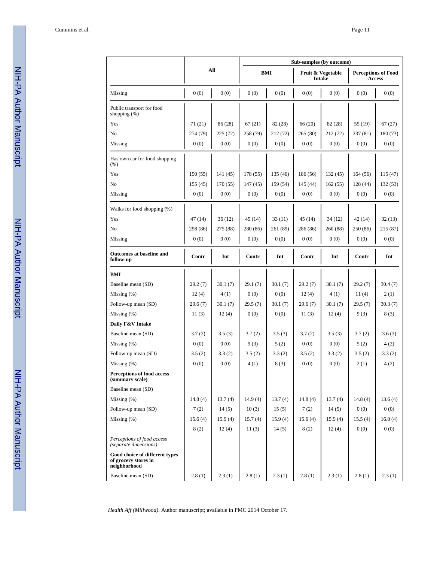|                                                                        |          |          | Sub-samples (by outcome) |          |                             |          |                                             |          |  |
|------------------------------------------------------------------------|----------|----------|--------------------------|----------|-----------------------------|----------|---------------------------------------------|----------|--|
|                                                                        |          | All      | <b>BMI</b>               |          | Fruit & Vegetable<br>Intake |          | <b>Perceptions of Food</b><br><b>Access</b> |          |  |
| Missing                                                                | 0(0)     | 0(0)     | 0(0)                     | 0(0)     | 0(0)                        | 0(0)     | 0(0)                                        | 0(0)     |  |
| Public transport for food<br>shopping $(\%)$                           |          |          |                          |          |                             |          |                                             |          |  |
| Yes                                                                    | 71 (21)  | 86 (28)  | 67(21)                   | 82 (28)  | 66 (20)                     | 82 (28)  | 55 (19)                                     | 67(27)   |  |
| N <sub>0</sub>                                                         | 274 (79) | 225(72)  | 258 (79)                 | 212 (72) | 265 (80)                    | 212 (72) | 237(81)                                     | 180 (73) |  |
| Missing                                                                | 0(0)     | 0(0)     | 0(0)                     | 0(0)     | 0(0)                        | 0(0)     | 0(0)                                        | 0(0)     |  |
| Has own car for food shopping<br>(% )                                  |          |          |                          |          |                             |          |                                             |          |  |
| Yes                                                                    | 190(55)  | 141(45)  | 178 (55)                 | 135 (46) | 186 (56)                    | 132(45)  | 164(56)                                     | 115(47)  |  |
| N <sub>0</sub>                                                         | 155(45)  | 170(55)  | 147(45)                  | 159 (54) | 145 (44)                    | 162(55)  | 128 (44)                                    | 132(53)  |  |
| Missing                                                                | 0(0)     | 0(0)     | 0(0)                     | 0(0)     | 0(0)                        | 0(0)     | 0(0)                                        | 0(0)     |  |
| Walks for food shopping (%)                                            |          |          |                          |          |                             |          |                                             |          |  |
| Yes                                                                    | 47(14)   | 36(12)   | 45(14)                   | 33(11)   | 45(14)                      | 34 (12)  | 42(14)                                      | 32(13)   |  |
| N <sub>0</sub>                                                         | 298 (86) | 275 (88) | 280 (86)                 | 261 (89) | 286 (86)                    | 260 (88) | 250 (86)                                    | 215 (87) |  |
| Missing                                                                | 0(0)     | 0(0)     | 0(0)                     | 0(0)     | 0(0)                        | 0(0)     | 0(0)                                        | 0(0)     |  |
| Outcomes at baseline and<br>follow-up                                  | Contr    | Int      | Contr                    | Int      | Contr                       | Int      | Contr                                       | Int      |  |
| BMI                                                                    |          |          |                          |          |                             |          |                                             |          |  |
| Baseline mean (SD)                                                     | 29.2(7)  | 30.1(7)  | 29.1(7)                  | 30.1(7)  | 29.2(7)                     | 30.1(7)  | 29.2(7)                                     | 30.4(7)  |  |
| Missing $(\%)$                                                         | 12(4)    | 4(1)     | 0(0)                     | 0(0)     | 12(4)                       | 4(1)     | 11(4)                                       | 2(1)     |  |
| Follow-up mean (SD)                                                    | 29.6(7)  | 30.1(7)  | 29.5(7)                  | 30.1(7)  | 29.6(7)                     | 30.1(7)  | 29.5(7)                                     | 30.3(7)  |  |
| Missing $(\%)$                                                         | 11(3)    | 12(4)    | 0(0)                     | 0(0)     | 11(3)                       | 12(4)    | 9(3)                                        | 8(3)     |  |
| Daily F&V Intake                                                       |          |          |                          |          |                             |          |                                             |          |  |
| Baseline mean (SD)                                                     | 3.7(2)   | 3.5(3)   | 3.7(2)                   | 3.5(3)   | 3.7(2)                      | 3.5(3)   | 3.7(2)                                      | 3.6(3)   |  |
| Missing $(\%)$                                                         | 0(0)     | 0(0)     | 9(3)                     | 5(2)     | 0(0)                        | 0(0)     | 5(2)                                        | 4(2)     |  |
| Follow-up mean (SD)                                                    | 3.5(2)   | 3.3(2)   | 3.5(2)                   | 3.3(2)   | 3.5(2)                      | 3.3(2)   | 3.5(2)                                      | 3.3(2)   |  |
| Missing $(\%)$                                                         | 0(0)     | 0(0)     | 4(1)                     | 8(3)     | 0(0)                        | 0(0)     | 2(1)                                        | 4(2)     |  |
| Perceptions of food access<br>(summary scale)                          |          |          |                          |          |                             |          |                                             |          |  |
| Baseline mean (SD)                                                     |          |          |                          |          |                             |          |                                             |          |  |
| Missing $(\%)$                                                         | 14.8(4)  | 13.7(4)  | 14.9(4)                  | 13.7(4)  | 14.8(4)                     | 13.7(4)  | 14.8(4)                                     | 13.6(4)  |  |
| Follow-up mean (SD)                                                    | 7(2)     | 14(5)    | 10(3)                    | 15(5)    | 7(2)                        | 14(5)    | 0(0)                                        | 0(0)     |  |
| Missing $(\%)$                                                         | 15.6(4)  | 15.9(4)  | 15.7(4)                  | 15.9(4)  | 15.6(4)                     | 15.9(4)  | 15.5(4)                                     | 16.0(4)  |  |
|                                                                        | 8(2)     | 12(4)    | 11(3)                    | 14(5)    | 8(2)                        | 12(4)    | 0(0)                                        | 0(0)     |  |
| Perceptions of food access<br>(separate dimensions):                   |          |          |                          |          |                             |          |                                             |          |  |
| Good choice of different types<br>of grocery stores in<br>neighborhood |          |          |                          |          |                             |          |                                             |          |  |
| Baseline mean (SD)                                                     | 2.8(1)   | 2.3(1)   | 2.8(1)                   | 2.3(1)   | 2.8(1)                      | 2.3(1)   | 2.8(1)                                      | 2.3(1)   |  |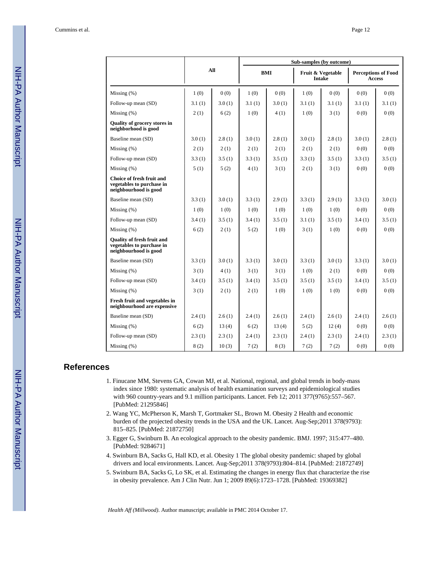|                                                                                         |        |        | Sub-samples (by outcome) |            |        |                             |        |                                             |  |
|-----------------------------------------------------------------------------------------|--------|--------|--------------------------|------------|--------|-----------------------------|--------|---------------------------------------------|--|
|                                                                                         |        | All    |                          | <b>BMI</b> |        | Fruit & Vegetable<br>Intake |        | <b>Perceptions of Food</b><br><b>Access</b> |  |
| Missing $(\% )$                                                                         | 1(0)   | 0(0)   | 1(0)                     | 0(0)       | 1(0)   | 0(0)                        | 0(0)   | (0)                                         |  |
| Follow-up mean (SD)                                                                     | 3.1(1) | 3.0(1) | 3.1(1)                   | 3.0(1)     | 3.1(1) | 3.1(1)                      | 3.1(1) | 3.1(1)                                      |  |
| Missing $(\%)$                                                                          | 2(1)   | 6(2)   | 1(0)                     | 4(1)       | 1(0)   | 3(1)                        | 0(0)   | 0(0)                                        |  |
| Quality of grocery stores in<br>neighborhood is good                                    |        |        |                          |            |        |                             |        |                                             |  |
| Baseline mean (SD)                                                                      | 3.0(1) | 2.8(1) | 3.0(1)                   | 2.8(1)     | 3.0(1) | 2.8(1)                      | 3.0(1) | 2.8(1)                                      |  |
| Missing $(\%)$                                                                          | 2(1)   | 2(1)   | 2(1)                     | 2(1)       | 2(1)   | 2(1)                        | 0(0)   | 0(0)                                        |  |
| Follow-up mean (SD)                                                                     | 3.3(1) | 3.5(1) | 3.3(1)                   | 3.5(1)     | 3.3(1) | 3.5(1)                      | 3.3(1) | 3.5(1)                                      |  |
| Missing $(\% )$                                                                         | 5(1)   | 5(2)   | 4(1)                     | 3(1)       | 2(1)   | 3(1)                        | 0(0)   | 0(0)                                        |  |
| <b>Choice of fresh fruit and</b><br>vegetables to purchase in<br>neighbourhood is good  |        |        |                          |            |        |                             |        |                                             |  |
| Baseline mean (SD)                                                                      | 3.3(1) | 3.0(1) | 3.3(1)                   | 2.9(1)     | 3.3(1) | 2.9(1)                      | 3.3(1) | 3.0(1)                                      |  |
| Missing (%)                                                                             | 1(0)   | 1(0)   | 1(0)                     | 1(0)       | 1(0)   | 1(0)                        | 0(0)   | 0(0)                                        |  |
| Follow-up mean (SD)                                                                     | 3.4(1) | 3.5(1) | 3.4(1)                   | 3.5(1)     | 3.1(1) | 3.5(1)                      | 3.4(1) | 3.5(1)                                      |  |
| Missing $(\%)$                                                                          | 6(2)   | 2(1)   | 5(2)                     | 1(0)       | 3(1)   | 1(0)                        | 0(0)   | 0(0)                                        |  |
| <b>Ouality of fresh fruit and</b><br>vegetables to purchase in<br>neighbourhood is good |        |        |                          |            |        |                             |        |                                             |  |
| Baseline mean (SD)                                                                      | 3.3(1) | 3.0(1) | 3.3(1)                   | 3.0(1)     | 3.3(1) | 3.0(1)                      | 3.3(1) | 3.0(1)                                      |  |
| Missing $(\%)$                                                                          | 3(1)   | 4(1)   | 3(1)                     | 3(1)       | 1(0)   | 2(1)                        | 0(0)   | 0(0)                                        |  |
| Follow-up mean (SD)                                                                     | 3.4(1) | 3.5(1) | 3.4(1)                   | 3.5(1)     | 3.5(1) | 3.5(1)                      | 3.4(1) | 3.5(1)                                      |  |
| Missing $(\%)$                                                                          | 3(1)   | 2(1)   | 2(1)                     | 1(0)       | 1(0)   | 1(0)                        | 0(0)   | 0(0)                                        |  |
| Fresh fruit and vegetables in<br>neighbourhood are expensive                            |        |        |                          |            |        |                             |        |                                             |  |
| Baseline mean (SD)                                                                      | 2.4(1) | 2.6(1) | 2.4(1)                   | 2.6(1)     | 2.4(1) | 2.6(1)                      | 2.4(1) | 2.6(1)                                      |  |
| Missing $(\%)$                                                                          | 6(2)   | 13(4)  | 6(2)                     | 13(4)      | 5(2)   | 12(4)                       | 0(0)   | 0(0)                                        |  |
| Follow-up mean (SD)                                                                     | 2.3(1) | 2.3(1) | 2.4(1)                   | 2.3(1)     | 2.4(1) | 2.3(1)                      | 2.4(1) | 2.3(1)                                      |  |
| Missing (%)                                                                             | 8(2)   | 10(3)  | 7(2)                     | 8(3)       | 7(2)   | 7(2)                        | 0(0)   | 0(0)                                        |  |

I

ı

## **References**

- 1. Finucane MM, Stevens GA, Cowan MJ, et al. National, regional, and global trends in body-mass index since 1980: systematic analysis of health examination surveys and epidemiological studies with 960 country-years and 9.1 million participants. Lancet. Feb 12; 2011 377(9765):557–567. [PubMed: 21295846]
- 2. Wang YC, McPherson K, Marsh T, Gortmaker SL, Brown M. Obesity 2 Health and economic burden of the projected obesity trends in the USA and the UK. Lancet. Aug-Sep;2011 378(9793): 815–825. [PubMed: 21872750]
- 3. Egger G, Swinburn B. An ecological approach to the obesity pandemic. BMJ. 1997; 315:477–480. [PubMed: 9284671]
- 4. Swinburn BA, Sacks G, Hall KD, et al. Obesity 1 The global obesity pandemic: shaped by global drivers and local environments. Lancet. Aug-Sep;2011 378(9793):804–814. [PubMed: 21872749]
- 5. Swinburn BA, Sacks G, Lo SK, et al. Estimating the changes in energy flux that characterize the rise in obesity prevalence. Am J Clin Nutr. Jun 1; 2009 89(6):1723–1728. [PubMed: 19369382]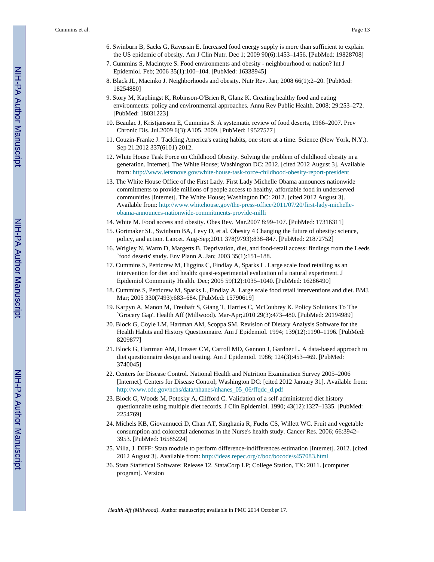- 6. Swinburn B, Sacks G, Ravussin E. Increased food energy supply is more than sufficient to explain the US epidemic of obesity. Am J Clin Nutr. Dec 1; 2009 90(6):1453–1456. [PubMed: 19828708]
- 7. Cummins S, Macintyre S. Food environments and obesity neighbourhood or nation? Int J Epidemiol. Feb; 2006 35(1):100–104. [PubMed: 16338945]
- 8. Black JL, Macinko J. Neighborhoods and obesity. Nutr Rev. Jan; 2008 66(1):2–20. [PubMed: 18254880]
- 9. Story M, Kaphingst K, Robinson-O'Brien R, Glanz K. Creating healthy food and eating environments: policy and environmental approaches. Annu Rev Public Health. 2008; 29:253–272. [PubMed: 18031223]
- 10. Beaulac J, Kristjansson E, Cummins S. A systematic review of food deserts, 1966–2007. Prev Chronic Dis. Jul.2009 6(3):A105. 2009. [PubMed: 19527577]
- 11. Couzin-Franke J. Tackling America's eating habits, one store at a time. Science (New York, N.Y.). Sep 21.2012 337(6101) 2012.
- 12. White House Task Force on Childhood Obesity. Solving the problem of childhood obesity in a generation. Internet]. The White House; Washington DC: 2012. [cited 2012 August 3]. Available from:<http://www.letsmove.gov/white-house-task-force-childhood-obesity-report-president>
- 13. The White House Office of the First Lady. First Lady Michelle Obama announces nationwide commitments to provide millions of people access to healthy, affordable food in underserved communities [Internet]. The White House; Washington DC: 2012. [cited 2012 August 3]. Available from: [http://www.whitehouse.gov/the-press-office/2011/07/20/first-lady-michelle](http://www.whitehouse.gov/the-press-office/2011/07/20/first-lady-michelle-obama-announces-nationwide-commitments-provide-milli)[obama-announces-nationwide-commitments-provide-milli](http://www.whitehouse.gov/the-press-office/2011/07/20/first-lady-michelle-obama-announces-nationwide-commitments-provide-milli)
- 14. White M. Food access and obesity. Obes Rev. Mar.2007 8:99–107. [PubMed: 17316311]
- 15. Gortmaker SL, Swinbum BA, Levy D, et al. Obesity 4 Changing the future of obesity: science, policy, and action. Lancet. Aug-Sep;2011 378(9793):838–847. [PubMed: 21872752]
- 16. Wrigley N, Warm D, Margetts B. Deprivation, diet, and food-retail access: findings from the Leeds `food deserts' study. Env Plann A. Jan; 2003 35(1):151–188.
- 17. Cummins S, Petticrew M, Higgins C, Findlay A, Sparks L. Large scale food retailing as an intervention for diet and health: quasi-experimental evaluation of a natural experiment. J Epidemiol Community Health. Dec; 2005 59(12):1035–1040. [PubMed: 16286490]
- 18. Cummins S, Petticrew M, Sparks L, Findlay A. Large scale food retail interventions and diet. BMJ. Mar; 2005 330(7493):683–684. [PubMed: 15790619]
- 19. Karpyn A, Manon M, Treuhaft S, Giang T, Harries C, McCoubrey K. Policy Solutions To The `Grocery Gap'. Health Aff (Millwood). Mar-Apr;2010 29(3):473–480. [PubMed: 20194989]
- 20. Block G, Coyle LM, Hartman AM, Scoppa SM. Revision of Dietary Analysis Software for the Health Habits and History Questionnaire. Am J Epidemiol. 1994; 139(12):1190–1196. [PubMed: 8209877]
- 21. Block G, Hartman AM, Dresser CM, Carroll MD, Gannon J, Gardner L. A data-based approach to diet questionnaire design and testing. Am J Epidemiol. 1986; 124(3):453–469. [PubMed: 3740045]
- 22. Centers for Disease Control. National Health and Nutrition Examination Survey 2005–2006 [Internet]. Centers for Disease Control; Washington DC: [cited 2012 January 31]. Available from: [http://www.cdc.gov/nchs/data/nhanes/nhanes\\_05\\_06/ffqdc\\_d.pdf](http://www.cdc.gov/nchs/data/nhanes/nhanes_05_06/ffqdc_d.pdf)
- 23. Block G, Woods M, Potosky A, Clifford C. Validation of a self-administered diet history questionnaire using multiple diet records. J Clin Epidemiol. 1990; 43(12):1327–1335. [PubMed: 2254769]
- 24. Michels KB, Giovannucci D, Chan AT, Singhania R, Fuchs CS, Willett WC. Fruit and vegetable consumption and colorectal adenomas in the Nurse's health study. Cancer Res. 2006; 66:3942– 3953. [PubMed: 16585224]
- 25. Villa, J. DIFF: Stata module to perform difference-indifferences estimation [Internet]. 2012. [cited 2012 August 3]. Available from: <http://ideas.repec.org/c/boc/bocode/s457083.html>
- 26. Stata Statistical Software: Release 12. StataCorp LP; College Station, TX: 2011. [computer program]. Version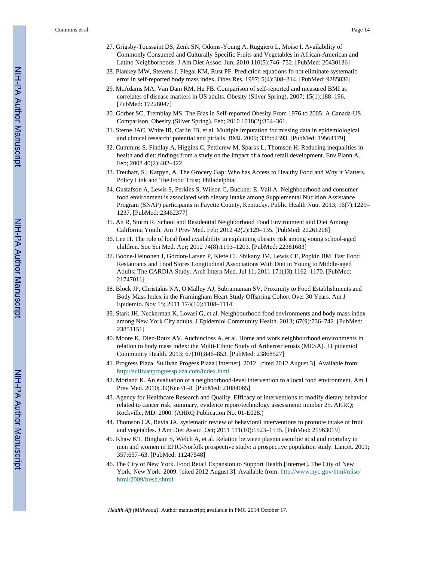- 27. Grigsby-Toussaint DS, Zenk SN, Odoms-Young A, Ruggiero L, Moise I. Availability of Commonly Consumed and Culturally Specific Fruits and Vegetables in African-American and Latino Neighborhoods. J Am Diet Assoc. Jun; 2010 110(5):746–752. [PubMed: 20430136]
- 28. Plankey MW, Stevens J, Flegal KM, Rust PF. Prediction equations fo not eliminate systematic error in self-reported body mass index. Obes Res. 1997; 5(4):308–314. [PubMed: 9285836]
- 29. McAdams MA, Van Dam RM, Hu FB. Comparison of self-reported and measured BMI as correlates of disease markers in US adults. Obesity (Silver Spring). 2007; 15(1):188–196. [PubMed: 17228047]
- 30. Gorber SC, Tremblay MS. The Bias in Self-reported Obesity From 1976 to 2005: A Canada-US Comparison. Obesity (Silver Spring). Feb; 2010 1018(2):354–361.
- 31. Sterne JAC, White IR, Carlin JB, et al. Multiple imputation for missing data in epidemiological and clinical research: potential and pitfalls. BMJ. 2009; 338:b2393. [PubMed: 19564179]
- 32. Cummins S, Findlay A, Higgins C, Petticrew M, Sparks L, Thomson H. Reducing inequalities in health and diet: findings from a study on the impact of a food retail development. Env Plann A. Feb; 2008 40(2):402–422.
- 33. Treuhaft, S.; Karpyn, A. The Grocery Gap: Who has Access to Healthy Food and Why it Matters. Policy Link and The Food Trust; Philadelphia:
- 34. Gustafson A, Lewis S, Perkins S, Wilson C, Buckner E, Vail A. Neighbourhood and consumer food environment is associated with dietary intake among Supplemental Nutrition Assistance Program (SNAP) participants in Fayette County, Kentucky. Public Health Nutr. 2013; 16(7):1229– 1237. [PubMed: 23462377]
- 35. An R, Sturm R. School and Residential Neighborhood Food Environment and Diet Among California Youth. Am J Prev Med. Feb; 2012 42(2):129–135. [PubMed: 22261208]
- 36. Lee H. The role of local food availability in explaining obesity risk among young school-aged children. Soc Sci Med. Apr; 2012 74(8):1193–1203. [PubMed: 22381683]
- 37. Boone-Heinonen J, Gordon-Larsen P, Kiefe CI, Shikany JM, Lewis CE, Popkin BM. Fast Food Restaurants and Food Stores Longitudinal Associations With Diet in Young to Middle-aged Adults: The CARDIA Study. Arch Intern Med. Jul 11; 2011 171(13):1162–1170. [PubMed: 21747011]
- 38. Block JP, Christakis NA, O'Malley AJ, Subramanian SV. Proximity to Food Establishments and Body Mass Index in the Framingham Heart Study Offspring Cohort Over 30 Years. Am J Epidemio. Nov 15; 2011 174(10):1108–1114.
- 39. Stark JH, Neckerman K, Lovasi G, et al. Neighbourhood food environments and body mass index among New York City adults. J Epidemiol Community Health. 2013; 67(9):736–742. [PubMed: 23851151]
- 40. Moore K, Diez-Roux AV, Auchincloss A, et al. Home and work neighbourhood environments in relation to body mass index: the Multi-Ethnic Study of Artherosclerosis (MESA). J Epidemiol Community Health. 2013; 67(10):846–853. [PubMed: 23868527]
- 41. Progress Plaza. Sullivan Progess Plaza [Internet]. 2012. [cited 2012 August 3]. Available from: <http://sullivanprogressplaza.com/index.html>
- 42. Morland K. An evaluation of a neighborhood-level intervention to a local food environment. Am J Prev Med. 2010; 39(6):e31–8. [PubMed: 21084065]
- 43. Agency for Healthcare Research and Quality. Efficacy of interventions to modify dietary behavior related to cancer risk, summary, evidence report/technology assessment: number 25. AHRQ; Rockville, MD: 2000. (AHRQ Publication No. 01-E028.)
- 44. Thomson CA, Ravia JA. systematic review of behavioral interventions to promote intake of fruit and vegetables. J Am Diet Assoc. Oct; 2011 111(10):1523–1535. [PubMed: 21963019]
- 45. Khaw KT, Bingham S, Welch A, et al. Relation between plasma ascorbic acid and mortality in men and women in EPIC-Norfolk prospective study: a prospective population study. Lancet. 2001; 357:657–63. [PubMed: 11247548]
- 46. The City of New York. Food Retail Expansion to Support Health [Internet]. The City of New York; New York: 2009. [cited 2012 August 3]. Available from: [http://www.nyc.gov/html/misc/](http://www.nyc.gov/html/misc/html/2009/fresh.shtml) [html/2009/fresh.shtml](http://www.nyc.gov/html/misc/html/2009/fresh.shtml)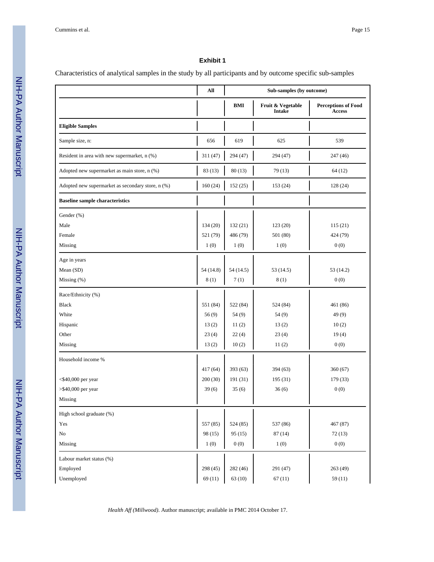## **Exhibit 1**

Characteristics of analytical samples in the study by all participants and by outcome specific sub-samples

|                                                   | All          | Sub-samples (by outcome) |                                    |                                             |  |
|---------------------------------------------------|--------------|--------------------------|------------------------------------|---------------------------------------------|--|
|                                                   |              | BMI                      | Fruit & Vegetable<br><b>Intake</b> | <b>Perceptions of Food</b><br><b>Access</b> |  |
| <b>Eligible Samples</b>                           |              |                          |                                    |                                             |  |
| Sample size, n:                                   | 656          | 619                      | 625                                | 539                                         |  |
| Resident in area with new supermarket, n (%)      | 311 (47)     | 294 (47)                 | 294 (47)                           | 247 (46)                                    |  |
| Adopted new supermarket as main store, n (%)      | 83 (13)      | 80(13)                   | 79 (13)                            | 64 (12)                                     |  |
| Adopted new supermarket as secondary store, n (%) | 160(24)      | 152(25)                  | 153 (24)                           | 128 (24)                                    |  |
| <b>Baseline sample characteristics</b>            |              |                          |                                    |                                             |  |
| Gender (%)                                        |              |                          |                                    |                                             |  |
| Male                                              | 134 (20)     | 132(21)                  | 123(20)                            | 115(21)                                     |  |
| Female                                            | 521 (79)     | 486 (79)                 | 501(80)                            | 424 (79)                                    |  |
| Missing                                           | 1(0)         | 1(0)                     | 1(0)                               | 0(0)                                        |  |
| Age in years                                      |              |                          |                                    |                                             |  |
| Mean (SD)                                         | 54 (14.8)    | 54(14.5)                 | 53 (14.5)                          | 53 (14.2)                                   |  |
| Missing $(\%)$                                    | 8(1)         | 7(1)                     | 8(1)                               | 0(0)                                        |  |
| Race/Ethnicity (%)                                |              |                          |                                    |                                             |  |
| <b>Black</b>                                      | 551 (84)     | 522 (84)                 | 524 (84)                           | 461 (86)                                    |  |
| White                                             | 56(9)        | 54(9)                    | 54 (9)                             | 49(9)                                       |  |
| Hispanic                                          | 13(2)        | 11(2)                    | 13(2)                              | 10(2)                                       |  |
| Other                                             | 23(4)        | 22(4)                    | 23(4)                              | 19(4)                                       |  |
| Missing                                           | 13(2)        | 10(2)                    | 11(2)                              | 0(0)                                        |  |
| Household income %                                |              |                          |                                    |                                             |  |
|                                                   | 417 (64)     | 393(63)                  | 394 (63)                           | 360 (67)                                    |  |
| $<$ \$40,000 per year                             | 200(30)      | 191(31)                  | 195 (31)                           | 179 (33)                                    |  |
| $>$ \$40,000 per year                             | 39(6)        | 35(6)                    | 36(6)                              | 0(0)                                        |  |
| $\mathbf{M} \mathbf{is} \mathbf{sing}$            | $\mathbf{I}$ | J.                       | L                                  | J.                                          |  |
| High school graduate (%)                          |              |                          |                                    |                                             |  |
| Yes                                               | 557 (85)     | 524 (85)                 | 537 (86)                           | 467 (87)                                    |  |
| $\rm No$                                          | 98 (15)      | 95(15)                   | 87(14)                             | 72(13)                                      |  |
| Missing                                           | 1(0)         | 0(0)                     | 1(0)                               | 0(0)                                        |  |
| Labour market status (%)                          |              |                          |                                    |                                             |  |
| Employed                                          | 298 (45)     | 282(46)                  | 291 (47)                           | 263 (49)                                    |  |
| Unemployed                                        | 69(11)       | 63(10)                   | 67(11)                             | 59(11)                                      |  |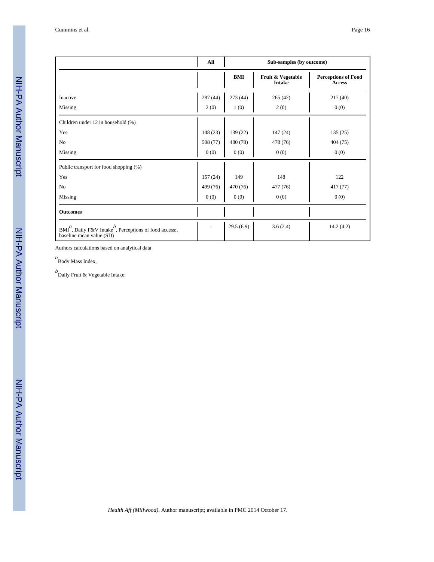|                                                                                                    | All      |            | Sub-samples (by outcome)           |                                             |
|----------------------------------------------------------------------------------------------------|----------|------------|------------------------------------|---------------------------------------------|
|                                                                                                    |          | <b>BMI</b> | Fruit & Vegetable<br><b>Intake</b> | <b>Perceptions of Food</b><br><b>Access</b> |
| Inactive                                                                                           | 287 (44) | 273 (44)   | 265(42)                            | 217(40)                                     |
| Missing                                                                                            | 2(0)     | 1(0)       | 2(0)                               | 0(0)                                        |
| Children under 12 in household (%)                                                                 |          |            |                                    |                                             |
| Yes                                                                                                | 148(23)  | 139 (22)   | 147(24)                            | 135(25)                                     |
| N <sub>0</sub>                                                                                     | 508 (77) | 480 (78)   | 478 (76)                           | 404 (75)                                    |
| Missing                                                                                            | 0(0)     | 0(0)       | 0(0)                               | 0(0)                                        |
| Public transport for food shopping (%)                                                             |          |            |                                    |                                             |
| Yes                                                                                                | 157(24)  | 149        | 148                                | 122                                         |
| N <sub>0</sub>                                                                                     | 499 (76) | 470 (76)   | 477 (76)                           | 417 (77)                                    |
| Missing                                                                                            | 0(0)     | 0(0)       | 0(0)                               | 0(0)                                        |
| <b>Outcomes</b>                                                                                    |          |            |                                    |                                             |
| $BMI^d$ , Daily F&V Intake <sup>b</sup> , Perceptions of food access:,<br>baseline mean value (SD) |          | 29.5(6.9)  | 3.6(2.4)                           | 14.2(4.2)                                   |

Authors calculations based on analytical data

*a* Body Mass Index,

*b* Daily Fruit & Vegetable Intake;

NIH-PA Author Manuscript

NIH-PA Author Manuscript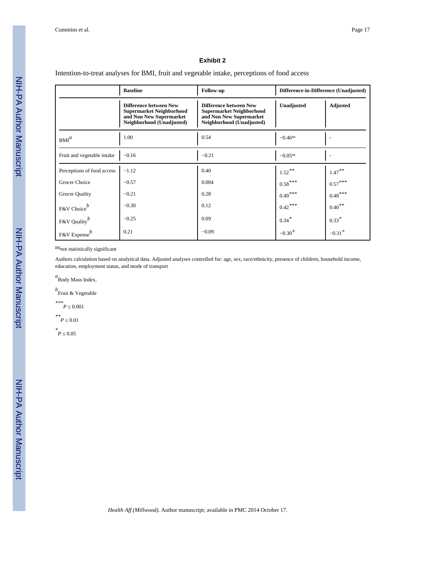#### **Exhibit 2**

Intention-to-treat analyses for BMI, fruit and vegetable intake, perceptions of food access

|                                        | <b>Baseline</b>                                                                                                          | Follow-up                                                                                                                | Difference-in-Difference (Unadjusted) |                      |
|----------------------------------------|--------------------------------------------------------------------------------------------------------------------------|--------------------------------------------------------------------------------------------------------------------------|---------------------------------------|----------------------|
|                                        | <b>Difference between New</b><br><b>Supermarket Neighborhood</b><br>and Non New Supermarket<br>Neighborhood (Unadjusted) | <b>Difference between New</b><br><b>Supermarket Neighborhood</b><br>and Non New Supermarket<br>Neighborhood (Unadjusted) | Unadjusted                            | <b>Adjusted</b>      |
| BM <sup>a</sup>                        | 1.00                                                                                                                     | 0.54                                                                                                                     | $-0.46$ <sup>ns</sup>                 |                      |
| Fruit and vegetable intake             | $-0.16$                                                                                                                  | $-0.21$                                                                                                                  | $-0.05$ <sup>ns</sup>                 |                      |
| Perceptions of food access             | $-1.12$                                                                                                                  | 0.40                                                                                                                     | $1.52***$                             | $1.47***$            |
| Grocer Choice                          | $-0.57$                                                                                                                  | 0.004                                                                                                                    | $0.58***$                             | $0.57***$            |
| Grocer Quality                         | $-0.21$                                                                                                                  | 0.28                                                                                                                     | $0.49***$                             | $0.48***$            |
| F&V Choice <sup>b</sup>                | $-0.30$                                                                                                                  | 0.12                                                                                                                     | $0.42***$                             | $0.40***$            |
| F&V Quality $\int$                     | $-0.25$                                                                                                                  | 0.09                                                                                                                     | $0.34*$                               | $0.33*$              |
| $\frac{1}{2}$ F&V Expense <sup>b</sup> | 0.21                                                                                                                     | $-0.09$                                                                                                                  | $-0.30*$                              | $-0.31$ <sup>*</sup> |

 $\ensuremath{\mathsf{ns}}$  not statistically significant

Authors calculation based on analytical data. Adjusted analyses controlled for: age, sex, race/ethnicity, presence of children, household income, education, employment status, and mode of transport

*a* Body Mass Index,

*b* Fruit & Vegetable

<sup>\*\*\*</sup>*P* 0.001

 $*$ <sup>\*</sup>*P* 0.01

 $*$ <sup>\*</sup> $P$ </sup> 0.05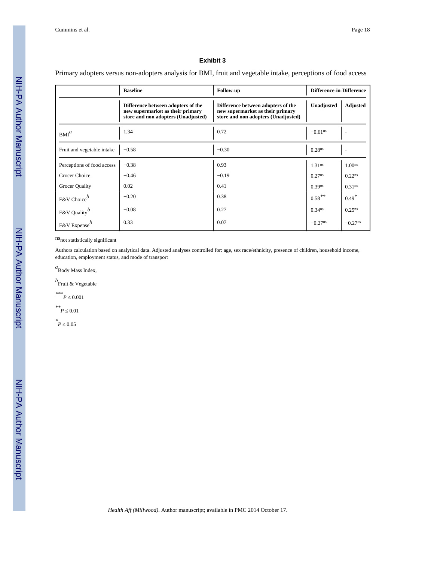#### **Exhibit 3**

Primary adopters versus non-adopters analysis for BMI, fruit and vegetable intake, perceptions of food access

|                                 | <b>Baseline</b>                                                                                               | <b>Follow-up</b>                                                                                              | <b>Difference-in-Difference</b> |                       |  |
|---------------------------------|---------------------------------------------------------------------------------------------------------------|---------------------------------------------------------------------------------------------------------------|---------------------------------|-----------------------|--|
|                                 | Difference between adopters of the<br>new supermarket as their primary<br>store and non adopters (Unadjusted) | Difference between adopters of the<br>new supermarket as their primary<br>store and non adopters (Unadjusted) | Unadjusted                      | Adjusted              |  |
| $BMI^a$                         | 1.34                                                                                                          | 0.72                                                                                                          | $-0.61$ <sup>ns</sup>           |                       |  |
| Fruit and vegetable intake      | $-0.58$                                                                                                       | $-0.30$                                                                                                       | 0.28 <sup>ns</sup>              |                       |  |
| Perceptions of food access      | $-0.38$                                                                                                       | 0.93                                                                                                          | 1.31 <sup>ns</sup>              | 1.00 <sup>ns</sup>    |  |
| Grocer Choice                   | $-0.46$                                                                                                       | $-0.19$                                                                                                       | $0.27^{ns}$                     | $0.22^{ns}$           |  |
| Grocer Quality                  | 0.02                                                                                                          | 0.41                                                                                                          | $0.39$ ns                       | 0.31 <sup>ns</sup>    |  |
| F&V Choice <sup>b</sup>         | $-0.20$                                                                                                       | 0.38                                                                                                          | $0.58***$                       | $0.49*$               |  |
| F&V Quality <sup><i>b</i></sup> | $-0.08$                                                                                                       | 0.27                                                                                                          | 0.34 <sup>ns</sup>              | $0.25^{ns}$           |  |
| F&V Expense <sup>b</sup>        | 0.33                                                                                                          | 0.07                                                                                                          | $-0.27$ <sup>ns</sup>           | $-0.27$ <sup>ns</sup> |  |

nsnot statistically significant

Authors calculation based on analytical data. Adjusted analyses controlled for: age, sex race/ethnicity, presence of children, household income, education, employment status, and mode of transport

*a* Body Mass Index,

*b* Fruit & Vegetable

<sup>\*\*\*</sup>*P* 0.001

 $*$ <sup>\*</sup>*P* 0.01

 $*$ <sup>\*</sup> $P$ </sup> 0.05

 NIH-PA Author ManuscriptNIH-PA Author Manuscript